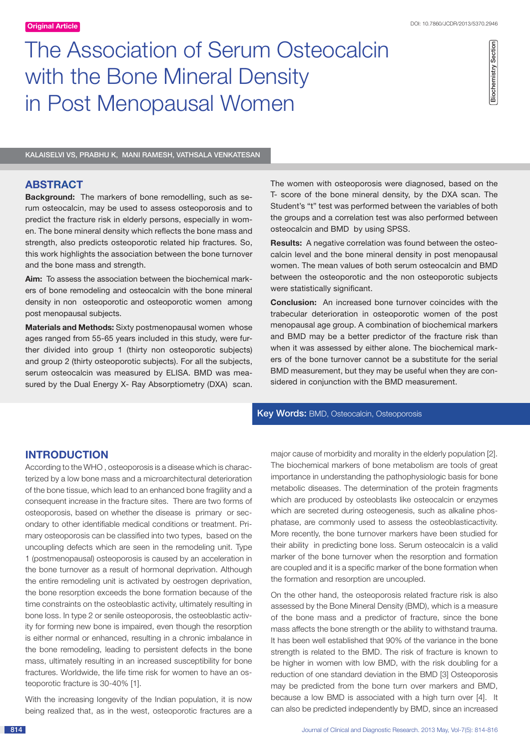# The Association of Serum Osteocalcin with the Bone Mineral Density in Post Menopausal Women

KalaiSelvi VS, Prabhu K, Mani Ramesh, Vathsala Venkatesan

# **ABSTRACT**

**Background:** The markers of bone remodelling, such as serum osteocalcin, may be used to assess osteoporosis and to predict the fracture risk in elderly persons, especially in women. The bone mineral density which reflects the bone mass and strength, also predicts osteoporotic related hip fractures. So, this work highlights the association between the bone turnover and the bone mass and strength.

**Aim:** To assess the association between the biochemical markers of bone remodeling and osteocalcin with the bone mineral density in non osteoporotic and osteoporotic women among post menopausal subjects.

**Materials and Methods:** Sixty postmenopausal women whose ages ranged from 55-65 years included in this study, were further divided into group 1 (thirty non osteoporotic subjects) and group 2 (thirty osteoporotic subjects). For all the subjects, serum osteocalcin was measured by ELISA. BMD was measured by the Dual Energy X- Ray Absorptiometry (DXA) scan.

The women with osteoporosis were diagnosed, based on the T- score of the bone mineral density, by the DXA scan. The Student's "t" test was performed between the variables of both the groups and a correlation test was also performed between osteocalcin and BMD by using SPSS.

**Results:** A negative correlation was found between the osteocalcin level and the bone mineral density in post menopausal women. The mean values of both serum osteocalcin and BMD between the osteoporotic and the non osteoporotic subjects were statistically significant.

**Conclusion:** An increased bone turnover coincides with the trabecular deterioration in osteoporotic women of the post menopausal age group. A combination of biochemical markers and BMD may be a better predictor of the fracture risk than when it was assessed by either alone. The biochemical markers of the bone turnover cannot be a substitute for the serial BMD measurement, but they may be useful when they are considered in conjunction with the BMD measurement.

# Key Words: BMD, Osteocalcin, Osteoporosis

# **Introduction**

According to the WHO , osteoporosis is a disease which is characterized by a low bone mass and a microarchitectural deterioration of the bone tissue, which lead to an enhanced bone fragility and a consequent increase in the fracture sites. There are two forms of osteoporosis, based on whether the disease is primary or secondary to other identifiable medical conditions or treatment. Primary osteoporosis can be classified into two types, based on the uncoupling defects which are seen in the remodeling unit. Type 1 (postmenopausal) osteoporosis is caused by an acceleration in the bone turnover as a result of hormonal deprivation. Although the entire remodeling unit is activated by oestrogen deprivation, the bone resorption exceeds the bone formation because of the time constraints on the osteoblastic activity, ultimately resulting in bone loss. In type 2 or senile osteoporosis, the osteoblastic activity for forming new bone is impaired, even though the resorption is either normal or enhanced, resulting in a chronic imbalance in the bone remodeling, leading to persistent defects in the bone mass, ultimately resulting in an increased susceptibility for bone fractures. Worldwide, the life time risk for women to have an osteoporotic fracture is 30-40% [1].

With the increasing longevity of the Indian population, it is now being realized that, as in the west, osteoporotic fractures are a

major cause of morbidity and morality in the elderly population [2]. The biochemical markers of bone metabolism are tools of great importance in understanding the pathophysiologic basis for bone metabolic diseases. The determination of the protein fragments which are produced by osteoblasts like osteocalcin or enzymes which are secreted during osteogenesis, such as alkaline phosphatase, are commonly used to assess the osteoblasticactivity. More recently, the bone turnover markers have been studied for their ability in predicting bone loss. Serum osteocalcin is a valid marker of the bone turnover when the resorption and formation are coupled and it is a specific marker of the bone formation when the formation and resorption are uncoupled.

On the other hand, the osteoporosis related fracture risk is also assessed by the Bone Mineral Density (BMD), which is a measure of the bone mass and a predictor of fracture, since the bone mass affects the bone strength or the ability to withstand trauma. It has been well established that 90% of the variance in the bone strength is related to the BMD. The risk of fracture is known to be higher in women with low BMD, with the risk doubling for a reduction of one standard deviation in the BMD [3] Osteoporosis may be predicted from the bone turn over markers and BMD, because a low BMD is associated with a high turn over [4]. It can also be predicted independently by BMD, since an increased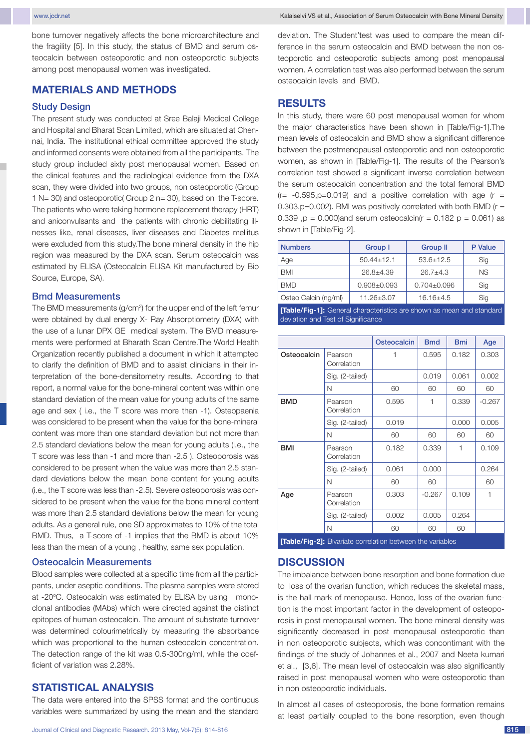bone turnover negatively affects the bone microarchitecture and the fragility [5]. In this study, the status of BMD and serum osteocalcin between osteoporotic and non osteoporotic subjects among post menopausal women was investigated.

## **MATERIALS AND METHODS**

#### Study Design

The present study was conducted at Sree Balaji Medical College and Hospital and Bharat Scan Limited, which are situated at Chennai, India. The institutional ethical committee approved the study and informed consents were obtained from all the participants. The study group included sixty post menopausal women. Based on the clinical features and the radiological evidence from the DXA scan, they were divided into two groups, non osteoporotic (Group 1 N= 30) and osteoporotic( Group 2 n= 30), based on the T-score. The patients who were taking hormone replacement therapy (HRT) and aniconvulsants and the patients with chronic debilitating illnesses like, renal diseases, liver diseases and Diabetes mellitus were excluded from this study.The bone mineral density in the hip region was measured by the DXA scan. Serum osteocalcin was estimated by ELISA (Osteocalcin ELISA Kit manufactured by Bio Source, Europe, SA).

#### Bmd Measurements

The BMD measurements (g/cm<sup>2</sup>) for the upper end of the left femur were obtained by dual energy X- Ray Absorptiometry (DXA) with the use of a lunar DPX GE medical system. The BMD measurements were performed at Bharath Scan Centre.The World Health Organization recently published a document in which it attempted to clarify the definition of BMD and to assist clinicians in their interpretation of the bone-densitometry results. According to that report, a normal value for the bone-mineral content was within one standard deviation of the mean value for young adults of the same age and sex ( i.e., the T score was more than -1). Osteopaenia was considered to be present when the value for the bone-mineral content was more than one standard deviation but not more than 2.5 standard deviations below the mean for young adults (i.e., the T score was less than -1 and more than -2.5 ). Osteoporosis was considered to be present when the value was more than 2.5 standard deviations below the mean bone content for young adults (i.e., the T score was less than -2.5). Severe osteoporosis was considered to be present when the value for the bone mineral content was more than 2.5 standard deviations below the mean for young adults. As a general rule, one SD approximates to 10% of the total BMD. Thus, a T-score of -1 implies that the BMD is about 10% less than the mean of a young , healthy, same sex population.

#### Osteocalcin Measurements

Blood samples were collected at a specific time from all the participants, under aseptic conditions. The plasma samples were stored at -20°C. Osteocalcin was estimated by ELISA by using monoclonal antibodies (MAbs) which were directed against the distinct epitopes of human osteocalcin. The amount of substrate turnover was determined colourimetrically by measuring the absorbance which was proportional to the human osteocalcin concentration. The detection range of the kit was 0.5-300ng/ml, while the coefficient of variation was 2.28%.

# **STATISTICAL ANALYSIS**

The data were entered into the SPSS format and the continuous variables were summarized by using the mean and the standard deviation. The Student'test was used to compare the mean difference in the serum osteocalcin and BMD between the non osteoporotic and osteoporotic subjects among post menopausal women. A correlation test was also performed between the serum osteocalcin levels and BMD.

#### **Results**

In this study, there were 60 post menopausal women for whom the major characteristics have been shown in [Table/Fig-1].The mean levels of osteocalcin and BMD show a significant difference between the postmenopausal osteoporotic and non osteoporotic women, as shown in [Table/Fig-1]. The results of the Pearson's correlation test showed a significant inverse correlation between the serum osteocalcin concentration and the total femoral BMD  $(r=-0.595, p=0.019)$  and a positive correlation with age  $(r=$ 0.303,  $p=0.002$ ). BMI was positively correlated with both BMD ( $r =$ 0.339 ,p = 0.000)and serum osteocalcin( $r = 0.182$  p = 0.061) as shown in [Table/Fig-2].

| <b>Numbers</b>       | Group I           | <b>Group II</b> | P Value |  |
|----------------------|-------------------|-----------------|---------|--|
| Age                  | $50.44 \pm 12.1$  | $53.6 + 12.5$   | Sig     |  |
| <b>BMI</b>           | $26.8 + 4.39$     | $26.7 + 4.3$    | NS.     |  |
| <b>BMD</b>           | $0.908 \pm 0.093$ | $0.704 + 0.096$ | Sig     |  |
| Osteo Calcin (ng/ml) | $11.26 + 3.07$    | $16.16{\pm}4.5$ | Sig     |  |

**[Table/Fig-1]:** General characteristics are shown as mean and standard deviation and Test of Significance

|                                                                 |                        | <b>Osteocalcin</b> | <b>Bmd</b> | <b>Bmi</b>   | Age      |  |  |
|-----------------------------------------------------------------|------------------------|--------------------|------------|--------------|----------|--|--|
| Osteocalcin                                                     | Pearson<br>Correlation | 1                  | 0.595      | 0.182        | 0.303    |  |  |
|                                                                 | Sig. (2-tailed)        |                    | 0.019      | 0.061        | 0.002    |  |  |
|                                                                 | N                      | 60                 | 60         | 60           | 60       |  |  |
| <b>BMD</b>                                                      | Pearson<br>Correlation | 0.595              | 1          | 0.339        | $-0.267$ |  |  |
|                                                                 | Sig. (2-tailed)        | 0.019              |            | 0.000        | 0.005    |  |  |
|                                                                 | N                      | 60                 | 60         | 60           | 60       |  |  |
| <b>BMI</b>                                                      | Pearson<br>Correlation | 0.182              | 0.339      | $\mathbf{1}$ | 0.109    |  |  |
|                                                                 | Sig. (2-tailed)        | 0.061              | 0.000      |              | 0.264    |  |  |
|                                                                 | N                      | 60                 | 60         |              | 60       |  |  |
| Age                                                             | Pearson<br>Correlation | 0.303              | $-0.267$   | 0.109        | 1        |  |  |
|                                                                 | Sig. (2-tailed)        | 0.002              | 0.005      | 0.264        |          |  |  |
|                                                                 | N                      | 60                 | 60         | 60           |          |  |  |
| FFALLS (Fig. 01. Discutato aggustation batterian tha condulator |                        |                    |            |              |          |  |  |

**[Table/Fig-21:** 

## **Discussion**

The imbalance between bone resorption and bone formation due to loss of the ovarian function, which reduces the skeletal mass, is the hall mark of menopause. Hence, loss of the ovarian function is the most important factor in the development of osteoporosis in post menopausal women. The bone mineral density was significantly decreased in post menopausal osteoporotic than in non osteoporotic subjects, which was concontimant with the findings of the study of Johannes et al., 2007 and Neeta kumari et al., [3,6]. The mean level of osteocalcin was also significantly raised in post menopausal women who were osteoporotic than in non osteoporotic individuals.

In almost all cases of osteoporosis, the bone formation remains at least partially coupled to the bone resorption, even though